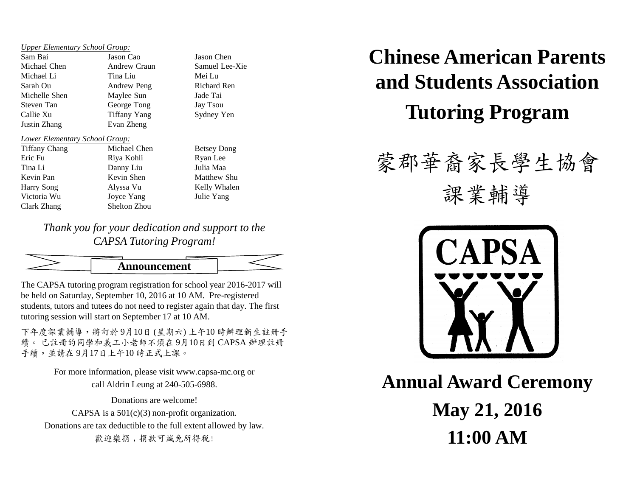## *Upper Elementary School Group:*

Sam Bai Jason Cao Jason Chen Michael Chen Andrew Craun Samuel Lee-Xie Michael Li Tina Liu Mei Lu Sarah Ou **Andrew Peng** Richard Ren Michelle Shen Maylee Sun Jade Tai Steven Tan George Tong Jay Tsou Callie Xu Tiffany Yang Sydney Yen Justin Zhang Evan Zheng *Lower Elementary School Group:*

| <b>Tiffany Chang</b> | Michael Cher |  |  |
|----------------------|--------------|--|--|
| Eric Fu              | Riya Kohli   |  |  |
| Tina Li              | Danny Liu    |  |  |
| Kevin Pan            | Kevin Shen   |  |  |
| <b>Harry Song</b>    | Alyssa Vu    |  |  |
| Victoria Wu          | Joyce Yang   |  |  |
| Clark Zhang          | Shelton Zhou |  |  |

n Betsey Dong Ryan Lee Julia Maa Matthew Shu Kelly Whalen Julie Yang

*Thank you for your dedication and support to the CAPSA Tutoring Program!*



The CAPSA tutoring program registration for school year 2016-2017 will be held on Saturday, September 10, 2016 at 10 AM. Pre-registered students, tutors and tutees do not need to register again that day. The first tutoring session will start on September 17 at 10 AM.

下年度課業輔導,將訂於 9月10日 (星期六) 上午10 時辦理新生註冊手 續。 已註冊的同學和義工小老師不須在 9月10日到 CAPSA 辦理註冊 手續,並請在 9月17日上午10時正式上課。

> For more information, please visit www.capsa-mc.org or call Aldrin Leung at 240-505-6988.

> > Donations are welcome!

CAPSA is a  $501(c)(3)$  non-profit organization. Donations are tax deductible to the full extent allowed by law. 歡迎樂捐,捐款可減免所得税!

## **Chinese American Parents and Students Association Tutoring Program**

## 蒙郡華裔家長學生協會

課業輔導



**Annual Award Ceremony May 21, 2016 11:00 AM**